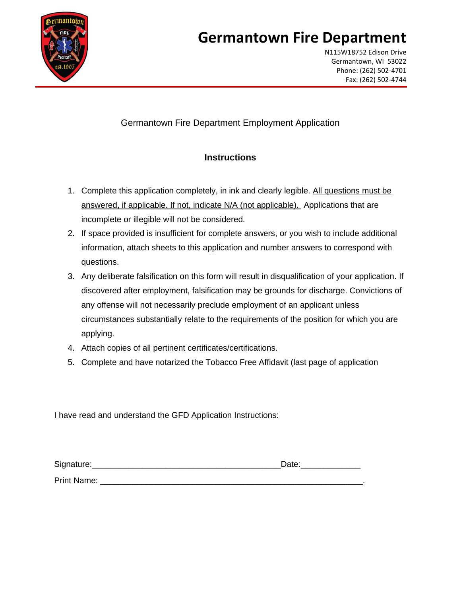

N115W18752 Edison Drive Germantown, WI 53022 Phone: (262) 502-4701 Fax: (262) 502-4744

#### Germantown Fire Department Employment Application

#### **Instructions**

- 1. Complete this application completely, in ink and clearly legible. All questions must be answered, if applicable. If not, indicate N/A (not applicable). Applications that are incomplete or illegible will not be considered.
- 2. If space provided is insufficient for complete answers, or you wish to include additional information, attach sheets to this application and number answers to correspond with questions.
- 3. Any deliberate falsification on this form will result in disqualification of your application. If discovered after employment, falsification may be grounds for discharge. Convictions of any offense will not necessarily preclude employment of an applicant unless circumstances substantially relate to the requirements of the position for which you are applying.
- 4. Attach copies of all pertinent certificates/certifications.
- 5. Complete and have notarized the Tobacco Free Affidavit (last page of application

I have read and understand the GFD Application Instructions:

| Signature:  | Date: |
|-------------|-------|
| Print Name: |       |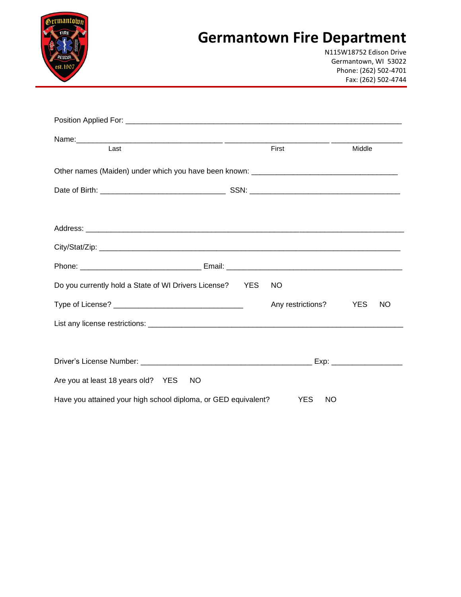

N115W18752 Edison Drive Germantown, WI 53022 Phone: (262) 502-4701 Fax: (262) 502-4744

| Last                                                           | First                   | Middle     |    |
|----------------------------------------------------------------|-------------------------|------------|----|
|                                                                |                         |            |    |
|                                                                |                         |            |    |
|                                                                |                         |            |    |
|                                                                |                         |            |    |
|                                                                |                         |            |    |
|                                                                |                         |            |    |
| Do you currently hold a State of WI Drivers License? YES       | NO.                     |            |    |
|                                                                | Any restrictions?       | <b>YES</b> | NO |
|                                                                |                         |            |    |
|                                                                |                         |            |    |
|                                                                |                         |            |    |
| Are you at least 18 years old? YES<br><b>NO</b>                |                         |            |    |
| Have you attained your high school diploma, or GED equivalent? | <b>YES</b><br><b>NO</b> |            |    |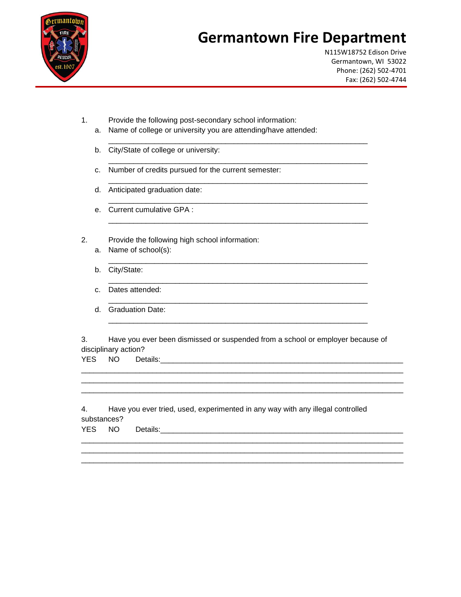

N115W18752 Edison Drive Germantown, WI 53022 Phone: (262) 502-4701 Fax: (262) 502-4744

- 1. Provide the following post-secondary school information:
	- a. Name of college or university you are attending/have attended:

\_\_\_\_\_\_\_\_\_\_\_\_\_\_\_\_\_\_\_\_\_\_\_\_\_\_\_\_\_\_\_\_\_\_\_\_\_\_\_\_\_\_\_\_\_\_\_\_\_\_\_\_\_\_\_\_\_\_\_\_\_\_

\_\_\_\_\_\_\_\_\_\_\_\_\_\_\_\_\_\_\_\_\_\_\_\_\_\_\_\_\_\_\_\_\_\_\_\_\_\_\_\_\_\_\_\_\_\_\_\_\_\_\_\_\_\_\_\_\_\_\_\_\_\_

\_\_\_\_\_\_\_\_\_\_\_\_\_\_\_\_\_\_\_\_\_\_\_\_\_\_\_\_\_\_\_\_\_\_\_\_\_\_\_\_\_\_\_\_\_\_\_\_\_\_\_\_\_\_\_\_\_\_\_\_\_\_

\_\_\_\_\_\_\_\_\_\_\_\_\_\_\_\_\_\_\_\_\_\_\_\_\_\_\_\_\_\_\_\_\_\_\_\_\_\_\_\_\_\_\_\_\_\_\_\_\_\_\_\_\_\_\_\_\_\_\_\_\_\_

\_\_\_\_\_\_\_\_\_\_\_\_\_\_\_\_\_\_\_\_\_\_\_\_\_\_\_\_\_\_\_\_\_\_\_\_\_\_\_\_\_\_\_\_\_\_\_\_\_\_\_\_\_\_\_\_\_\_\_\_\_\_

\_\_\_\_\_\_\_\_\_\_\_\_\_\_\_\_\_\_\_\_\_\_\_\_\_\_\_\_\_\_\_\_\_\_\_\_\_\_\_\_\_\_\_\_\_\_\_\_\_\_\_\_\_\_\_\_\_\_\_\_\_\_

\_\_\_\_\_\_\_\_\_\_\_\_\_\_\_\_\_\_\_\_\_\_\_\_\_\_\_\_\_\_\_\_\_\_\_\_\_\_\_\_\_\_\_\_\_\_\_\_\_\_\_\_\_\_\_\_\_\_\_\_\_\_

\_\_\_\_\_\_\_\_\_\_\_\_\_\_\_\_\_\_\_\_\_\_\_\_\_\_\_\_\_\_\_\_\_\_\_\_\_\_\_\_\_\_\_\_\_\_\_\_\_\_\_\_\_\_\_\_\_\_\_\_\_\_

\_\_\_\_\_\_\_\_\_\_\_\_\_\_\_\_\_\_\_\_\_\_\_\_\_\_\_\_\_\_\_\_\_\_\_\_\_\_\_\_\_\_\_\_\_\_\_\_\_\_\_\_\_\_\_\_\_\_\_\_\_\_

- b. City/State of college or university:
- c. Number of credits pursued for the current semester:
- d. Anticipated graduation date:
- e. Current cumulative GPA :
- 2. Provide the following high school information:
	- a. Name of school(s):
	- b. City/State:
	- c. Dates attended:
	- d. Graduation Date:

3. Have you ever been dismissed or suspended from a school or employer because of disciplinary action?

\_\_\_\_\_\_\_\_\_\_\_\_\_\_\_\_\_\_\_\_\_\_\_\_\_\_\_\_\_\_\_\_\_\_\_\_\_\_\_\_\_\_\_\_\_\_\_\_\_\_\_\_\_\_\_\_\_\_\_\_\_\_\_\_\_\_\_\_\_\_\_\_\_\_\_\_\_ \_\_\_\_\_\_\_\_\_\_\_\_\_\_\_\_\_\_\_\_\_\_\_\_\_\_\_\_\_\_\_\_\_\_\_\_\_\_\_\_\_\_\_\_\_\_\_\_\_\_\_\_\_\_\_\_\_\_\_\_\_\_\_\_\_\_\_\_\_\_\_\_\_\_\_\_\_ \_\_\_\_\_\_\_\_\_\_\_\_\_\_\_\_\_\_\_\_\_\_\_\_\_\_\_\_\_\_\_\_\_\_\_\_\_\_\_\_\_\_\_\_\_\_\_\_\_\_\_\_\_\_\_\_\_\_\_\_\_\_\_\_\_\_\_\_\_\_\_\_\_\_\_\_\_

\_\_\_\_\_\_\_\_\_\_\_\_\_\_\_\_\_\_\_\_\_\_\_\_\_\_\_\_\_\_\_\_\_\_\_\_\_\_\_\_\_\_\_\_\_\_\_\_\_\_\_\_\_\_\_\_\_\_\_\_\_\_\_\_\_\_\_\_\_\_\_\_\_\_\_\_\_ \_\_\_\_\_\_\_\_\_\_\_\_\_\_\_\_\_\_\_\_\_\_\_\_\_\_\_\_\_\_\_\_\_\_\_\_\_\_\_\_\_\_\_\_\_\_\_\_\_\_\_\_\_\_\_\_\_\_\_\_\_\_\_\_\_\_\_\_\_\_\_\_\_\_\_\_\_ \_\_\_\_\_\_\_\_\_\_\_\_\_\_\_\_\_\_\_\_\_\_\_\_\_\_\_\_\_\_\_\_\_\_\_\_\_\_\_\_\_\_\_\_\_\_\_\_\_\_\_\_\_\_\_\_\_\_\_\_\_\_\_\_\_\_\_\_\_\_\_\_\_\_\_\_\_

YES NO Details:  $\blacksquare$ 

4. Have you ever tried, used, experimented in any way with any illegal controlled substances?

YES NO Details:\_\_\_\_\_\_\_\_\_\_\_\_\_\_\_\_\_\_\_\_\_\_\_\_\_\_\_\_\_\_\_\_\_\_\_\_\_\_\_\_\_\_\_\_\_\_\_\_\_\_\_\_\_\_\_\_\_\_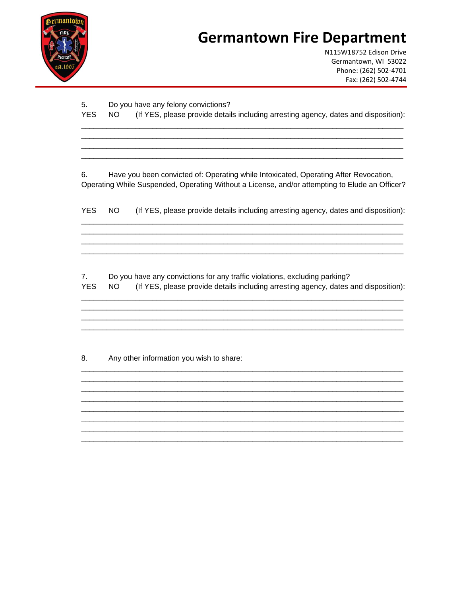

N115W18752 Edison Drive Germantown, WI 53022 Phone: (262) 502-4701 Fax: (262) 502-4744

| 5.                           |           | Do you have any felony convictions?                                                                                                                                                    |
|------------------------------|-----------|----------------------------------------------------------------------------------------------------------------------------------------------------------------------------------------|
| <b>YES</b>                   | <b>NO</b> | (If YES, please provide details including arresting agency, dates and disposition):                                                                                                    |
|                              |           |                                                                                                                                                                                        |
|                              |           |                                                                                                                                                                                        |
| 6.                           |           | Have you been convicted of: Operating while Intoxicated, Operating After Revocation,<br>Operating While Suspended, Operating Without a License, and/or attempting to Elude an Officer? |
| <b>YES</b>                   | NO.       | (If YES, please provide details including arresting agency, dates and disposition):                                                                                                    |
|                              |           |                                                                                                                                                                                        |
| 7 <sub>1</sub><br><b>YES</b> | NO.       | Do you have any convictions for any traffic violations, excluding parking?<br>(If YES, please provide details including arresting agency, dates and disposition):                      |
|                              |           |                                                                                                                                                                                        |
| 8.                           |           | Any other information you wish to share:                                                                                                                                               |
|                              |           |                                                                                                                                                                                        |
|                              |           |                                                                                                                                                                                        |
|                              |           |                                                                                                                                                                                        |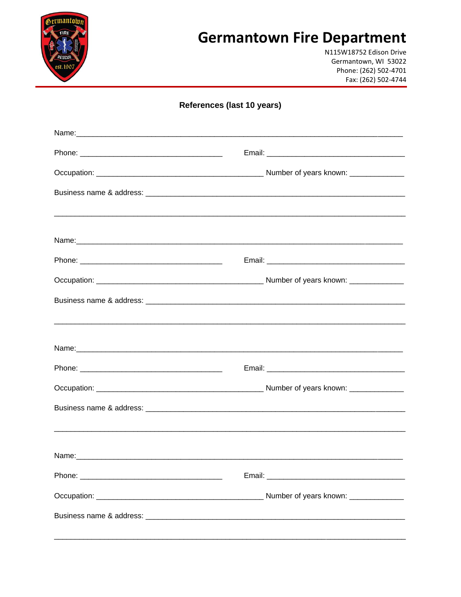

N115W18752 Edison Drive Germantown, WI 53022 Phone: (262) 502-4701 Fax: (262) 502-4744

| References (last 10 years) |  |
|----------------------------|--|
|                            |  |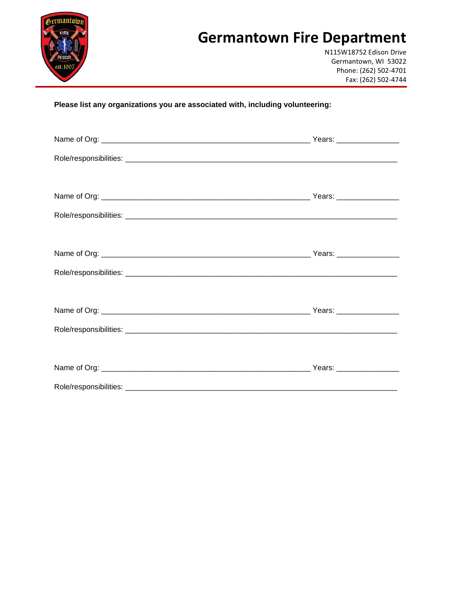

N115W18752 Edison Drive Germantown, WI 53022 Phone: (262) 502-4701 Fax: (262) 502-4744

**Please list any organizations you are associated with, including volunteering:**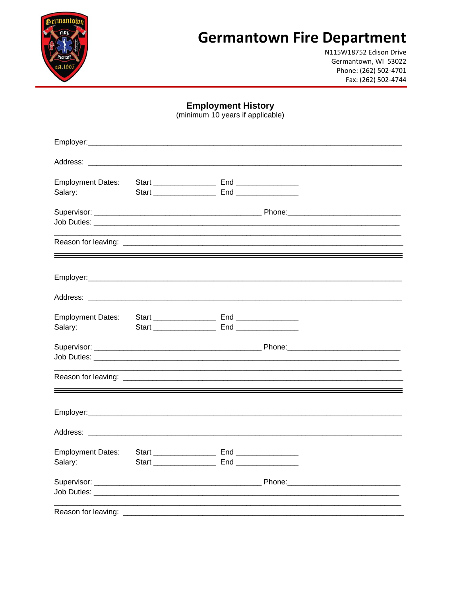

N115W18752 Edison Drive Germantown, WI 53022 Phone: (262) 502-4701 Fax: (262) 502-4744

**Employment History**<br>(minimum 10 years if applicable)

| <b>Employment Dates:</b><br>Salary: |  |  |  |
|-------------------------------------|--|--|--|
|                                     |  |  |  |
|                                     |  |  |  |
|                                     |  |  |  |
|                                     |  |  |  |
|                                     |  |  |  |
| <b>Employment Dates:</b><br>Salary: |  |  |  |
|                                     |  |  |  |
|                                     |  |  |  |
|                                     |  |  |  |
|                                     |  |  |  |
| <b>Employment Dates:</b><br>Salary: |  |  |  |
|                                     |  |  |  |
|                                     |  |  |  |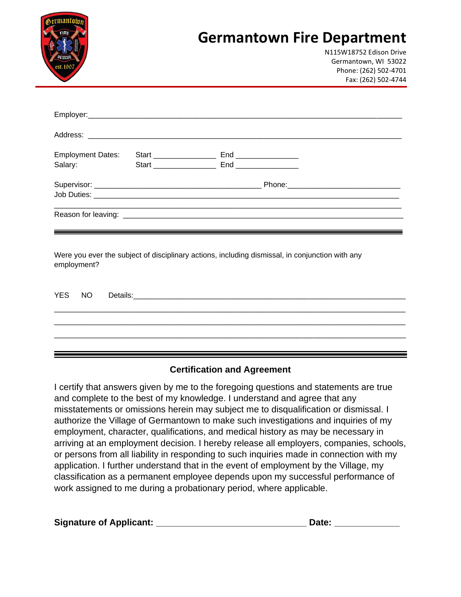| FIRF<br>RESCU<br>est.1907 |                          | <b>Germantown Fire Department</b> | N115W18752 Edison Drive<br>Germantown, WI 53022<br>Phone: (262) 502-4701<br>Fax: (262) 502-4744 |
|---------------------------|--------------------------|-----------------------------------|-------------------------------------------------------------------------------------------------|
|                           |                          |                                   |                                                                                                 |
|                           |                          |                                   |                                                                                                 |
| <b>Employment Dates:</b>  | Start <b>Start Start</b> | End __________________            |                                                                                                 |
| Salary:                   | Start __________         | End                               |                                                                                                 |

Were you ever the subject of disciplinary actions, including dismissal, in conjunction with any employment?

|  | YES NO Details: |
|--|-----------------|
|  |                 |
|  |                 |
|  |                 |
|  |                 |

#### **Certification and Agreement**

I certify that answers given by me to the foregoing questions and statements are true and complete to the best of my knowledge. I understand and agree that any misstatements or omissions herein may subject me to disqualification or dismissal. I authorize the Village of Germantown to make such investigations and inquiries of my employment, character, qualifications, and medical history as may be necessary in arriving at an employment decision. I hereby release all employers, companies, schools, or persons from all liability in responding to such inquiries made in connection with my application. I further understand that in the event of employment by the Village, my classification as a permanent employee depends upon my successful performance of work assigned to me during a probationary period, where applicable.

| <b>Signature of Applicant:</b> | Date: |
|--------------------------------|-------|
|--------------------------------|-------|